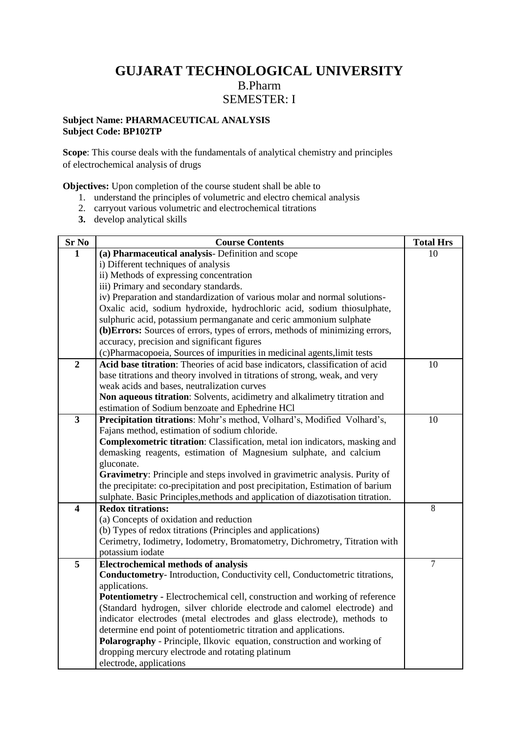# **GUJARAT TECHNOLOGICAL UNIVERSITY** B.Pharm SEMESTER: I

## **Subject Name: PHARMACEUTICAL ANALYSIS Subject Code: BP102TP**

**Scope**: This course deals with the fundamentals of analytical chemistry and principles of electrochemical analysis of drugs

**Objectives:** Upon completion of the course student shall be able to

- 1. understand the principles of volumetric and electro chemical analysis
- 2. carryout various volumetric and electrochemical titrations
- **3.** develop analytical skills

| Sr No                   | <b>Course Contents</b>                                                          | <b>Total Hrs</b> |
|-------------------------|---------------------------------------------------------------------------------|------------------|
| $\mathbf{1}$            | (a) Pharmaceutical analysis- Definition and scope                               | 10               |
|                         | i) Different techniques of analysis                                             |                  |
|                         | ii) Methods of expressing concentration                                         |                  |
|                         | iii) Primary and secondary standards.                                           |                  |
|                         | iv) Preparation and standardization of various molar and normal solutions-      |                  |
|                         | Oxalic acid, sodium hydroxide, hydrochloric acid, sodium thiosulphate,          |                  |
|                         | sulphuric acid, potassium permanganate and ceric ammonium sulphate              |                  |
|                         | (b) Errors: Sources of errors, types of errors, methods of minimizing errors,   |                  |
|                         | accuracy, precision and significant figures                                     |                  |
|                         | (c)Pharmacopoeia, Sources of impurities in medicinal agents, limit tests        |                  |
| $\overline{2}$          | Acid base titration: Theories of acid base indicators, classification of acid   | 10               |
|                         | base titrations and theory involved in titrations of strong, weak, and very     |                  |
|                         | weak acids and bases, neutralization curves                                     |                  |
|                         | Non aqueous titration: Solvents, acidimetry and alkalimetry titration and       |                  |
|                         | estimation of Sodium benzoate and Ephedrine HCl                                 |                  |
| $\overline{\mathbf{3}}$ | Precipitation titrations: Mohr's method, Volhard's, Modified Volhard's,         | 10               |
|                         | Fajans method, estimation of sodium chloride.                                   |                  |
|                         | Complexometric titration: Classification, metal ion indicators, masking and     |                  |
|                         | demasking reagents, estimation of Magnesium sulphate, and calcium               |                  |
|                         | gluconate.                                                                      |                  |
|                         | Gravimetry: Principle and steps involved in gravimetric analysis. Purity of     |                  |
|                         | the precipitate: co-precipitation and post precipitation, Estimation of barium  |                  |
|                         | sulphate. Basic Principles, methods and application of diazotisation titration. |                  |
| $\overline{\mathbf{4}}$ | <b>Redox titrations:</b>                                                        | 8                |
|                         | (a) Concepts of oxidation and reduction                                         |                  |
|                         | (b) Types of redox titrations (Principles and applications)                     |                  |
|                         | Cerimetry, Iodimetry, Iodometry, Bromatometry, Dichrometry, Titration with      |                  |
|                         | potassium iodate                                                                |                  |
| 5                       | <b>Electrochemical methods of analysis</b>                                      | $\overline{7}$   |
|                         | Conductometry-Introduction, Conductivity cell, Conductometric titrations,       |                  |
|                         | applications.                                                                   |                  |
|                         | Potentiometry - Electrochemical cell, construction and working of reference     |                  |
|                         | (Standard hydrogen, silver chloride electrode and calomel electrode) and        |                  |
|                         | indicator electrodes (metal electrodes and glass electrode), methods to         |                  |
|                         | determine end point of potentiometric titration and applications.               |                  |
|                         | Polarography - Principle, Ilkovic equation, construction and working of         |                  |
|                         | dropping mercury electrode and rotating platinum                                |                  |
|                         | electrode, applications                                                         |                  |